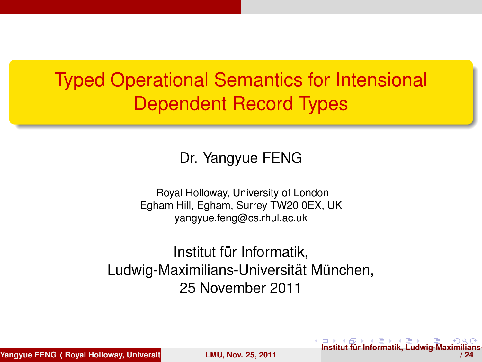# Typed Operational Semantics for Intensional Dependent Record Types

#### Dr. Yangyue FENG

Royal Holloway, University of London Egham Hill, Egham, Surrey TW20 0EX, UK yangyue.feng@cs.rhul.ac.uk

Institut für Informatik, Ludwig-Maximilians-Universität München, 25 November 2011

**Yangyue FENG ( Royal Holloway, University of Londo[n Egham Hill, Egham](#page-23-0), Surrey TW20 0EX, UK yangyue.feng@cs.rhul.ac.uk ) LMU, Nov. 25, 2011**

<span id="page-0-0"></span> $\bullet$  $\bullet$  $\bullet$  **[I](#page-0-0)n[stit](#page-1-0)ut für [I](#page-1-0)[nfor](#page-0-0)[m](#page-1-0)[at](#page-2-0)[ik, L](#page-0-0)u[dw](#page-2-0)[ig-](#page-0-0)[Maxi](#page-23-0)milians**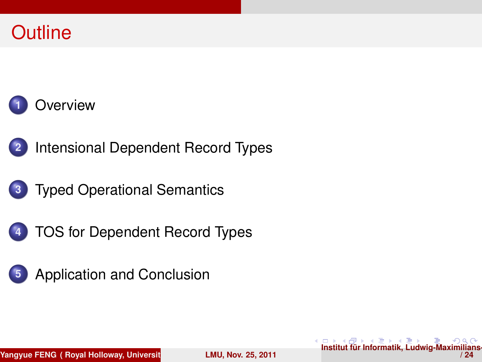### **Outline**





**2** [Intensional Dependent Record Types](#page-3-0)

- **3** [Typed Operational Semantics](#page-6-0)
- 
- <span id="page-1-0"></span>**4** [TOS for Dependent Record Types](#page-10-0)

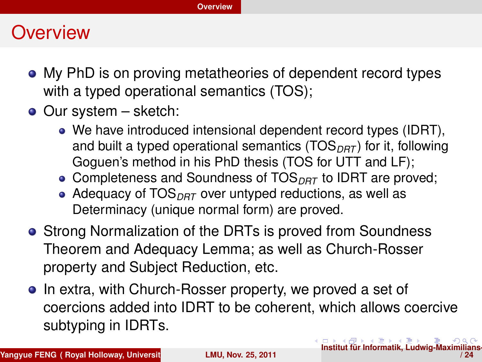### **Overview**

- My PhD is on proving metatheories of dependent record types with a typed operational semantics (TOS);
- Our system sketch:
	- We have introduced intensional dependent record types (IDRT), and built a typed operational semantics (TOS<sub>DRT</sub>) for it, following Goguen's method in his PhD thesis (TOS for UTT and LF);
	- **Completeness and Soundness of TOS**<sub>DRT</sub> to IDRT are proved:
	- Adequacy of TOS<sub>DRT</sub> over untyped reductions, as well as Determinacy (unique normal form) are proved.
- Strong Normalization of the DRTs is proved from Soundness Theorem and Adequacy Lemma; as well as Church-Rosser property and Subject Reduction, etc.
- <span id="page-2-0"></span>• In extra, with Church-Rosser property, we proved a set of coercions added into IDRT to be coherent, which allows coercive subtyping in IDRTs.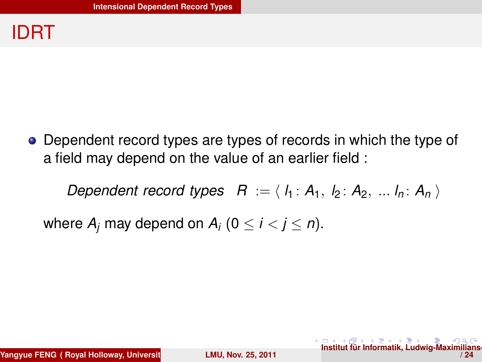### IDRT

Dependent record types are types of records in which the type of a field may depend on the value of an earlier field :

<span id="page-3-0"></span>*Dependent record types*  $R := \langle h_1 : A_1, h_2 : A_2, \ldots h_n : A_n \rangle$ 

where  $A_i$  may depend on  $A_i$  ( $0 \le i \le j \le n$ ).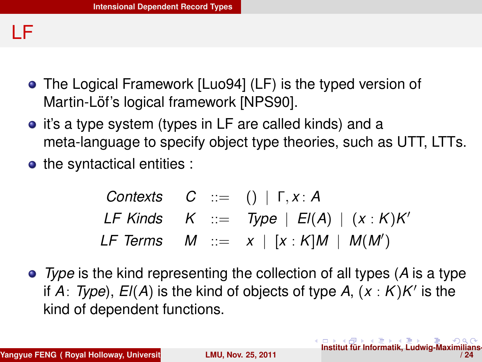### LF

- The Logical Framework [Luo94] (LF) is the typed version of Martin-Löf's logical framework [NPS90].
- it's a type system (types in LF are called kinds) and a meta-language to specify object type theories, such as UTT, LTTs.
- the syntactical entities :

<span id="page-4-0"></span>*Contexts C* ::= () | Γ, *x* : *A*  $LF$  Kinds  $K$  ::= *Type*  $|E(A)| (x : K)K'$  $LF$  Terms  $M := x \mid [x:K]M \mid M(M')$ 

*Type* is the kind representing the collection of all types (*A* is a type if  $A$ : *Type*),  $El(A)$  is the kind of objects of type  $A$ ,  $(x : K)K'$  is the kind of dependent functions.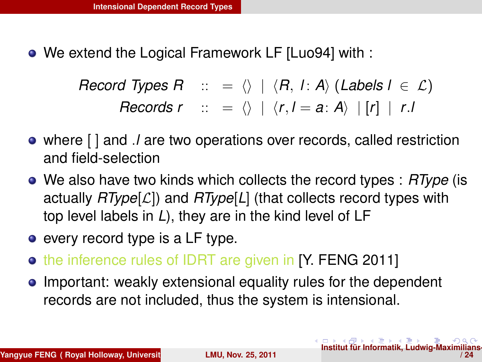We extend the Logical Framework LF [Luo94] with :

*Record Types R* :: =  $\langle \rangle$  |  $\langle R, I : A \rangle$  (*Labels l*  $\in \mathcal{L}$ ) *Records r* :: =  $\langle \rangle$  |  $\langle r, l = a : A \rangle$  |  $\lceil r \rceil$  | *r*.*l* 

- where [ ] and .*l* are two operations over records, called restriction and field-selection
- We also have two kinds which collects the record types : *RType* (is actually *RType*[L]) and *RType*[*L*] (that collects record types with top level labels in *L*), they are in the kind level of LF
- every record type is a LF type.
- the inference rules of IDRT are given in [Y. FENG 2011]
- <span id="page-5-0"></span>• Important: weakly extensional equality rules for the dependent records are not included, thus the system is intensional.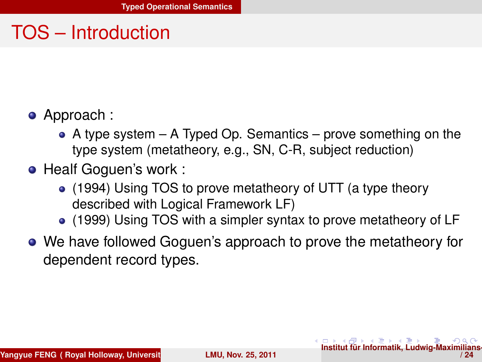## TOS – Introduction

- Approach :
	- $\bullet$  A type system A Typed Op. Semantics prove something on the type system (metatheory, e.g., SN, C-R, subject reduction)
- **Healf Goguen's work :** 
	- (1994) Using TOS to prove metatheory of UTT (a type theory described with Logical Framework LF)
	- (1999) Using TOS with a simpler syntax to prove metatheory of LF
- We have followed Goguen's approach to prove the metatheory for dependent record types.

<span id="page-6-0"></span>**[I](#page-5-0)n**<br> **In[stit](#page-7-0)[ut](#page-5-0)** für [I](#page-7-0)[nf](#page-5-0)[or](#page-6-0)[m](#page-9-0)[at](#page-10-0)[ik,](#page-5-0) [L](#page-6-0)[u](#page-9-0)[dw](#page-10-0)[ig-](#page-0-0)[Maxi](#page-23-0)milians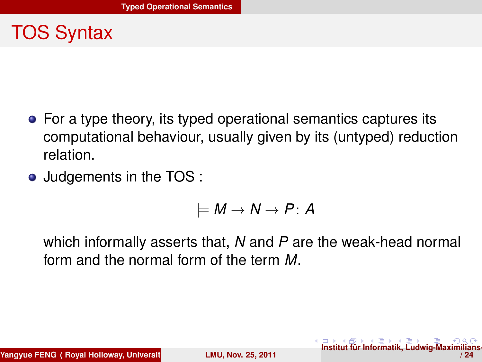# TOS Syntax

- For a type theory, its typed operational semantics captures its computational behaviour, usually given by its (untyped) reduction relation.
- Judgements in the TOS :

<span id="page-7-0"></span>
$$
\models M \rightarrow N \rightarrow P \colon A
$$

which informally asserts that, *N* and *P* are the weak-head normal form and the normal form of the term *M*.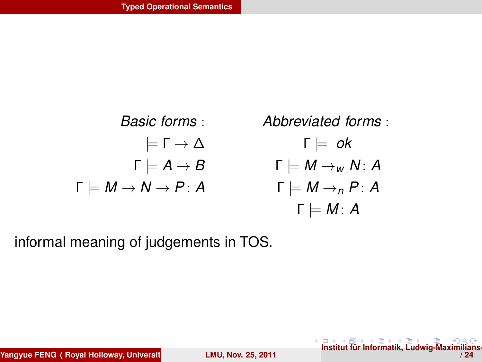

informal meaning of judgements in TOS.

<span id="page-8-0"></span>**[I](#page-7-0)n**<br>**In[stit](#page-9-0)[ut](#page-7-0)** für [I](#page-9-0)[nf](#page-5-0)[or](#page-6-0)[m](#page-9-0)[at](#page-10-0)[ik,](#page-5-0) [L](#page-6-0)[u](#page-9-0)[dw](#page-10-0)[ig-](#page-0-0)[Maxi](#page-23-0)milians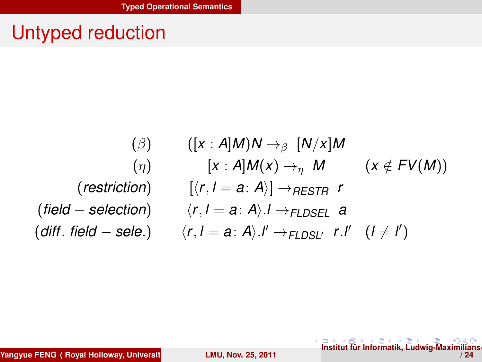## Untyped reduction

$$
\begin{array}{cc}\n(\beta) & ([x:A]M)N \rightarrow_{\beta} [N/x]M \\
& (\eta) & [x:A]M(x) \rightarrow_{\eta} M & (x \notin FV(M)) \\
& & (restriction) & [(r, l = a:A)] \rightarrow_{RESTR} r \\
& & (field – selection) & \langle r, l = a:A \rangle. I \rightarrow_{FLDSEL} a \\
& (diff. field – sele.) & \langle r, l = a:A \rangle. I' \rightarrow_{FLDSL'} r.l' & (l \neq l')\n\end{array}
$$

-[I](#page-8-0)n[stit](#page-10-0)[ut](#page-8-0) für [I](#page-10-0)[nf](#page-5-0)[or](#page-6-0)[m](#page-9-0)[at](#page-10-0)[ik,](#page-5-0) [L](#page-6-0)[u](#page-9-0)[dw](#page-10-0)[ig-](#page-0-0)[Maxi](#page-23-0)milians<br>24 / 24

<span id="page-9-0"></span>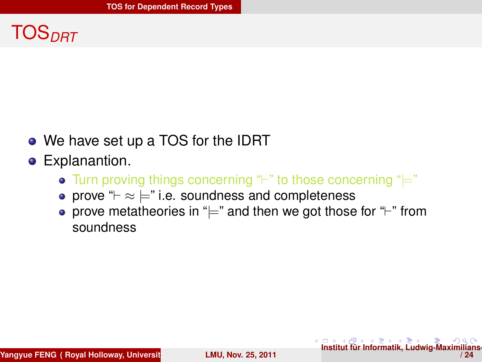# TOS*DRT*

- We have set up a TOS for the IDRT
- <span id="page-10-0"></span>**•** Explanantion.
	- Turn proving things concerning " $\vdash$ " to those concerning " $\models$ "
	- prove " $\vdash \approx \models$ " i.e. soundness and completeness
	- prove metatheories in " $\models$ " and then we got those for " $\models$ " from soundness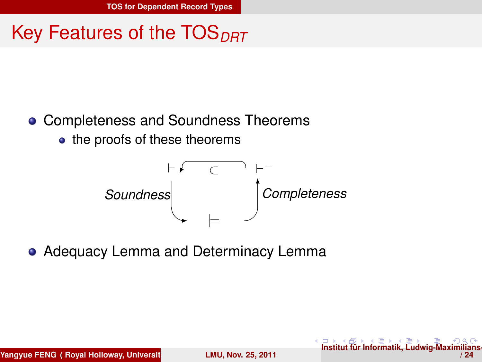# Key Features of the TOS<sub>DRT</sub>

### **• Completeness and Soundness Theorems**

• the proofs of these theorems

<span id="page-11-0"></span>

**• Adequacy Lemma and Determinacy Lemma**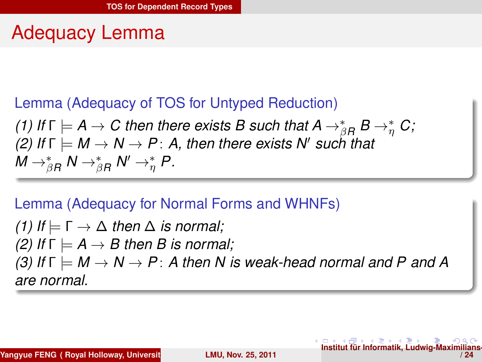### Adequacy Lemma

### Lemma (Adequacy of TOS for Untyped Reduction)

*(1) If*  $\Gamma \models A \rightarrow C$  then there exists B such that  $A \rightarrow_{\beta R}^* B \rightarrow_{\eta}^* C$ ; *(2)* If  $\Gamma \models M \rightarrow N \rightarrow P$ : A, then there exists N' such that  $M \rightarrow_{\beta R}^* N \rightarrow_{\beta R}^* N' \rightarrow_{\eta}^* P$ .

#### Lemma (Adequacy for Normal Forms and WHNFs)

*(1) If*  $\models$  Γ  $→$  Δ *then* Δ *is normal*; *(2)* If  $\Gamma \models A \rightarrow B$  then *B* is normal; *(3)* If  $\Gamma \models M \rightarrow N \rightarrow P$ : A then N is weak-head normal and P and A *are normal.*

<span id="page-12-0"></span>**[I](#page-11-0)n**<br> **In[stit](#page-13-0)[ut](#page-11-0) für [I](#page-13-0)[nf](#page-9-0)[or](#page-10-0)[m](#page-20-0)[at](#page-21-0)[ik,](#page-9-0) [L](#page-10-0)[u](#page-20-0)[dw](#page-21-0)[ig-](#page-0-0)[Maxi](#page-23-0)**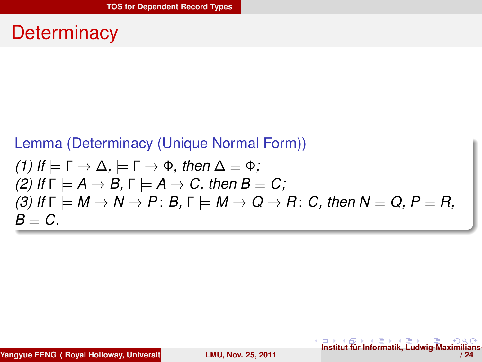### **Determinacy**

#### Lemma (Determinacy (Unique Normal Form))

(1) If 
$$
\models \Gamma \rightarrow \Delta
$$
,  $\models \Gamma \rightarrow \Phi$ , then  $\Delta \equiv \Phi$ ;  
\n(2) If  $\Gamma \models A \rightarrow B$ ,  $\Gamma \models A \rightarrow C$ , then  $B \equiv C$ ;  
\n(3) If  $\Gamma \models M \rightarrow N \rightarrow P$ : B,  $\Gamma \models M \rightarrow Q \rightarrow R$ : C, then  $N \equiv Q$ ,  $P \equiv R$ ,  
\n $B \equiv C$ .

**Yangyue FENG ( Royal Holloway, Universit LMU, Nov. 25, 2011** 

<span id="page-13-0"></span>**[I](#page-12-0)n**<br>**In[stit](#page-14-0)[ut](#page-12-0)** für [I](#page-14-0)[nf](#page-9-0)[or](#page-10-0)[m](#page-20-0)[at](#page-21-0)[ik,](#page-9-0) [L](#page-10-0)[u](#page-20-0)[dw](#page-21-0)[ig-](#page-0-0)[Maxi](#page-23-0)milians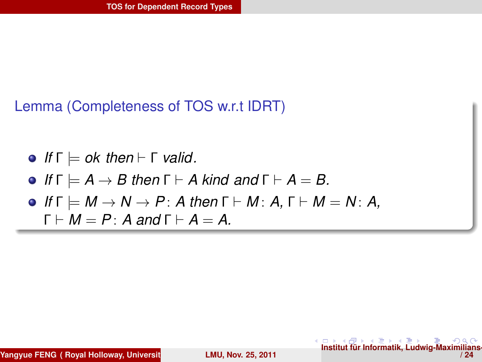#### Lemma (Completeness of TOS w.r.t IDRT)

\n- \n
$$
If \Gamma \models \text{ok} \text{ then } \vdash \Gamma \text{ valid.}
$$
\n
\n- \n $If \Gamma \models A \rightarrow B \text{ then } \Gamma \vdash A \text{ kind and } \Gamma \vdash A = B.$ \n
\n- \n $If \Gamma \models M \rightarrow N \rightarrow P \colon A \text{ then } \Gamma \vdash M \colon A, \Gamma \vdash M = N \colon A, \Gamma \vdash M = P \colon A \text{ and } \Gamma \vdash A = A.$ \n
\n

**Yangyue FENG ( Royal Holloway, Universit LAU, Nov. 25, 2011** 

<span id="page-14-0"></span>**[I](#page-13-0)n**<br>**In[stit](#page-15-0)[ut](#page-13-0) für [I](#page-15-0)[nf](#page-9-0)[or](#page-10-0)[m](#page-20-0)[at](#page-21-0)[ik,](#page-9-0) [L](#page-10-0)[u](#page-20-0)[dw](#page-21-0)[ig-](#page-0-0)[Maxi](#page-23-0)milians**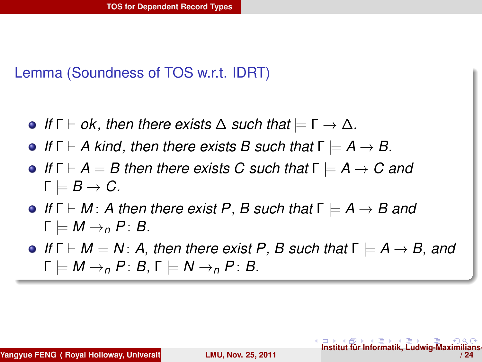#### Lemma (Soundness of TOS w.r.t. IDRT)

- **•** If  $\Gamma \vdash \mathsf{ok}$ , then there exists  $\Delta$  such that  $\models \Gamma \to \Delta$ .
- **•** If  $\Gamma \vdash A$  kind, then there exists B such that  $\Gamma \models A \rightarrow B$ .
- **•** If  $\Gamma \vdash A = B$  then there exists C such that  $\Gamma \models A \rightarrow C$  and  $\Gamma \models B \rightarrow C.$
- $\bullet$  *If*  $\Gamma \vdash M$ : *A then there exist P*, *B such that*  $\Gamma \models A \rightarrow B$  *and*  $\Gamma \models M \rightarrow_{n} P : B.$
- $\bullet$  *If*  $\Gamma \vdash M = N$ : *A, then there exist P, B such that*  $\Gamma \models A \rightarrow B$ *, and*  $\Gamma \models M \rightarrow_n P: B, \Gamma \models N \rightarrow_n P: B.$

<span id="page-15-0"></span>**[I](#page-14-0)n[stit](#page-16-0)[ut](#page-14-0) für [I](#page-16-0)[nf](#page-9-0)[or](#page-10-0)[m](#page-20-0)[at](#page-21-0)[ik,](#page-9-0) [L](#page-10-0)[u](#page-20-0)[dw](#page-21-0)[ig-](#page-0-0)Max**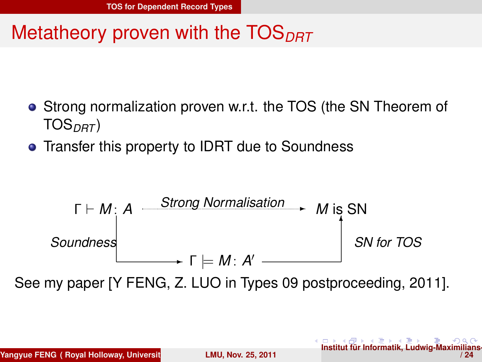## Metatheory proven with the TOS<sub>DRT</sub>

- **•** Strong normalization proven w.r.t. the TOS (the SN Theorem of TOS*DRT* )
- Transfer this property to IDRT due to Soundness

<span id="page-16-0"></span>

See my paper [Y FENG, Z. LUO in Types 09 postproceeding, 2011].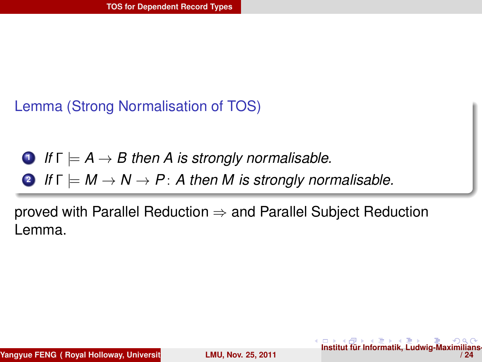#### Lemma (Strong Normalisation of TOS)

**0** If 
$$
\Gamma \models A \rightarrow B
$$
 then A is strongly normalisable.

**2** *If*  $\Gamma \models M \rightarrow N \rightarrow P$ : A then M is strongly normalisable.

proved with Parallel Reduction  $\Rightarrow$  and Parallel Subject Reduction Lemma.

<span id="page-17-0"></span>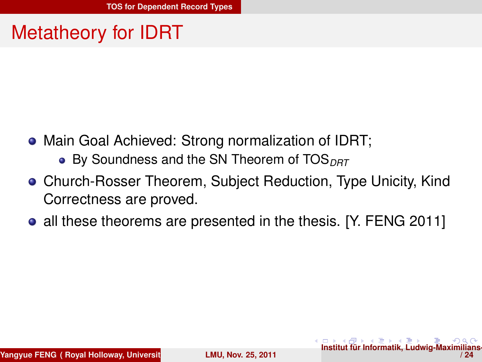# Metatheory for IDRT

- Main Goal Achieved: Strong normalization of IDRT;
	- By Soundness and the SN Theorem of TOS<sub>DRT</sub>
- Church-Rosser Theorem, Subject Reduction, Type Unicity, Kind Correctness are proved.
- <span id="page-18-0"></span>• all these theorems are presented in the thesis. [Y. FENG 2011]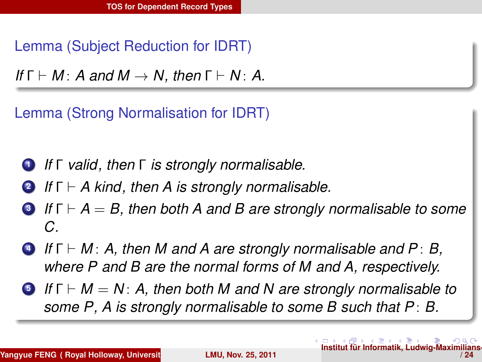Lemma (Subject Reduction for IDRT)

*If*  $\Gamma \vdash M$ : *A and*  $M \rightarrow N$ , then  $\Gamma \vdash N$ : *A*.

Lemma (Strong Normalisation for IDRT)

- **<sup>1</sup>** *If* Γ *valid, then* Γ *is strongly normalisable.*
- **<sup>2</sup>** *If* Γ ` *A kind, then A is strongly normalisable.*
- **<sup>3</sup>** *If* Γ ` *A* = *B, then both A and B are strongly normalisable to some C.*
- **<sup>4</sup>** *If* Γ ` *M* : *A, then M and A are strongly normalisable and P* : *B, where P and B are the normal forms of M and A, respectively.*
- <span id="page-19-0"></span>**<sup>5</sup>** *If* Γ ` *M* = *N* : *A, then both M and N are strongly normalisable to some P, A is strongly normalisable to some B such that P* : *B.*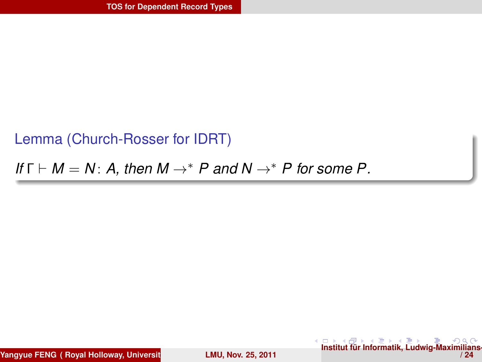#### Lemma (Church-Rosser for IDRT)

#### *If*  $\Gamma \vdash M = N$ : A, then  $M \rightarrow^* P$  and  $N \rightarrow^* P$  for some P.

**Yangyue FENG ( Royal Holloway, Universit LMU, Nov. 25, 2011** 

<span id="page-20-0"></span>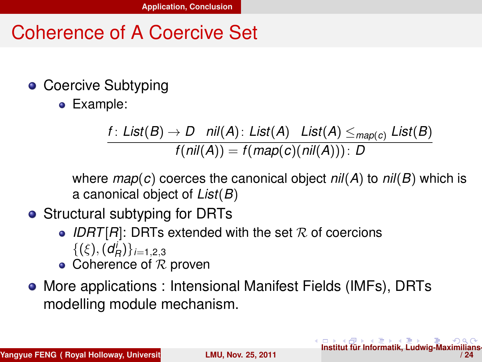### Coherence of A Coercive Set

- Coercive Subtyping
	- Example:

*f* : *List*(*B*)  $\rightarrow$  *D nil*(*A*): *List*(*A*) *List*(*A*)  $\leq$  *map*(*c*) *List*(*B*)  $f(nil(A)) = f(map(c)(nil(A))) : D$ 

where *map*(*c*) coerces the canonical object *nil*(*A*) to *nil*(*B*) which is a canonical object of *List*(*B*)

<span id="page-21-0"></span>**[I](#page-20-0)n**<br> **In[stit](#page-22-0)[ut](#page-20-0)** für [I](#page-22-0)[nf](#page-20-0)[or](#page-21-0)[mat](#page-23-0)[ik,](#page-20-0) [L](#page-21-0)[udw](#page-23-0)[ig-](#page-0-0)[Maxi](#page-23-0)milians

- Structural subtyping for DRTs
	- IDRT $[R]$ : DRTs extended with the set  $R$  of coercions  $\{(\xi), (d_R^i)\}_{i=1,2,3}$
	- Coherence of  $R$  proven
- More applications : Intensional Manifest Fields (IMFs), DRTs modelling module mechanism.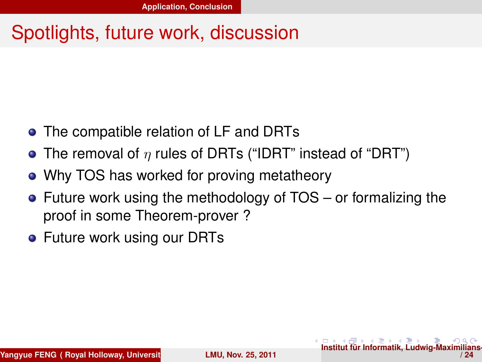## Spotlights, future work, discussion

- The compatible relation of LF and DRTs
- The removal of  $\eta$  rules of DRTs ("IDRT" instead of "DRT")
- Why TOS has worked for proving metatheory
- Future work using the methodology of TOS or formalizing the proof in some Theorem-prover ?
- **•** Future work using our DRTs

<span id="page-22-0"></span> $\frac{1}{2}$ **[I](#page-21-0)n[stit](#page-23-0)[ut](#page-21-0)** für [I](#page-23-0)[nf](#page-20-0)[or](#page-21-0)[mat](#page-23-0)[ik,](#page-20-0) [L](#page-21-0)[udw](#page-23-0)[ig-](#page-0-0)[Maxi](#page-23-0)